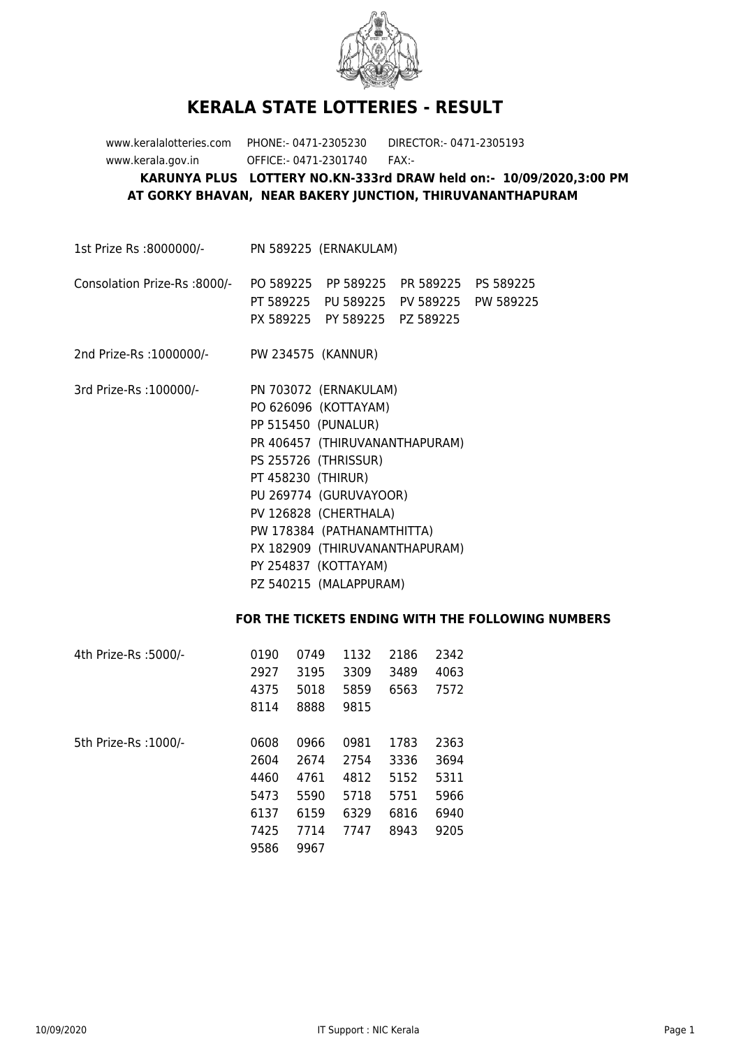

## **KERALA STATE LOTTERIES - RESULT**

www.keralalotteries.com PHONE:- 0471-2305230 DIRECTOR:- 0471-2305193 www.kerala.gov.in OFFICE:- 0471-2301740 FAX:- **KARUNYA PLUS LOTTERY NO.KN-333rd DRAW held on:- 10/09/2020,3:00 PM AT GORKY BHAVAN, NEAR BAKERY JUNCTION, THIRUVANANTHAPURAM**

1st Prize Rs :8000000/- PN 589225 (ERNAKULAM)

## Consolation Prize-Rs :8000/- PO 589225 PP 589225 PR 589225 PS 589225 PT 589225 PU 589225 PV 589225 PW 589225 PX 589225 PY 589225 PZ 589225

2nd Prize-Rs :1000000/- PW 234575 (KANNUR)

3rd Prize-Rs :100000/- PN 703072 (ERNAKULAM) PO 626096 (KOTTAYAM) PP 515450 (PUNALUR) PR 406457 (THIRUVANANTHAPURAM) PS 255726 (THRISSUR) PT 458230 (THIRUR) PU 269774 (GURUVAYOOR) PV 126828 (CHERTHALA) PW 178384 (PATHANAMTHITTA) PX 182909 (THIRUVANANTHAPURAM) PY 254837 (KOTTAYAM) PZ 540215 (MALAPPURAM)

## **FOR THE TICKETS ENDING WITH THE FOLLOWING NUMBERS**

| 4th Prize-Rs :5000/-  | 0190 | 0749 | 1132 | 2186 | 2342 |
|-----------------------|------|------|------|------|------|
|                       | 2927 | 3195 | 3309 | 3489 | 4063 |
|                       | 4375 | 5018 | 5859 | 6563 | 7572 |
|                       | 8114 | 8888 | 9815 |      |      |
|                       |      |      |      |      |      |
| 5th Prize-Rs : 1000/- | 0608 | 0966 | 0981 | 1783 | 2363 |
|                       | 2604 | 2674 | 2754 | 3336 | 3694 |
|                       | 4460 | 4761 | 4812 | 5152 | 5311 |
|                       | 5473 | 5590 | 5718 | 5751 | 5966 |
|                       | 6137 | 6159 | 6329 | 6816 | 6940 |
|                       | 7425 | 7714 | 7747 | 8943 | 9205 |
|                       | 9586 | 9967 |      |      |      |